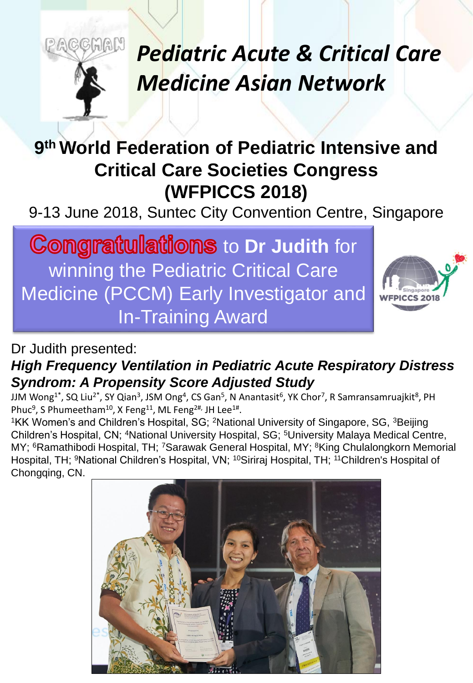# *Pediatric Acute & Critical Care Medicine Asian Network*

### **9 th World Federation of Pediatric Intensive and Critical Care Societies Congress (WFPICCS 2018)**

9-13 June 2018, Suntec City Convention Centre, Singapore

**Congratulations to Dr Judith for** winning the Pediatric Critical Care Medicine (PCCM) Early Investigator and In-Training Award

coman



#### Dr Judith presented: *High Frequency Ventilation in Pediatric Acute Respiratory Distress Syndrom: A Propensity Score Adjusted Study*

JJM Wong<sup>1\*</sup>, SQ Liu<sup>2\*</sup>, SY Qian<sup>3</sup>, JSM Ong<sup>4</sup>, CS Gan<sup>5</sup>, N Anantasit<sup>6</sup>, YK Chor<sup>7</sup>, R Samransamruajkit<sup>8</sup>, PH Phuc<sup>9</sup>, S Phumeetham<sup>10</sup>, X Feng<sup>11</sup>, ML Feng<sup>2#,</sup> JH Lee<sup>1#</sup>.

<sup>1</sup>KK Women's and Children's Hospital, SG; <sup>2</sup>National University of Singapore, SG, <sup>3</sup>Beijing Children's Hospital, CN; <sup>4</sup>National University Hospital, SG; <sup>5</sup>University Malaya Medical Centre, MY; <sup>6</sup>Ramathibodi Hospital, TH; <sup>7</sup>Sarawak General Hospital, MY; <sup>8</sup>King Chulalongkorn Memorial Hospital, TH; <sup>9</sup>National Children's Hospital, VN; <sup>10</sup>Siriraj Hospital, TH; <sup>11</sup>Children's Hospital of Chongqing, CN.

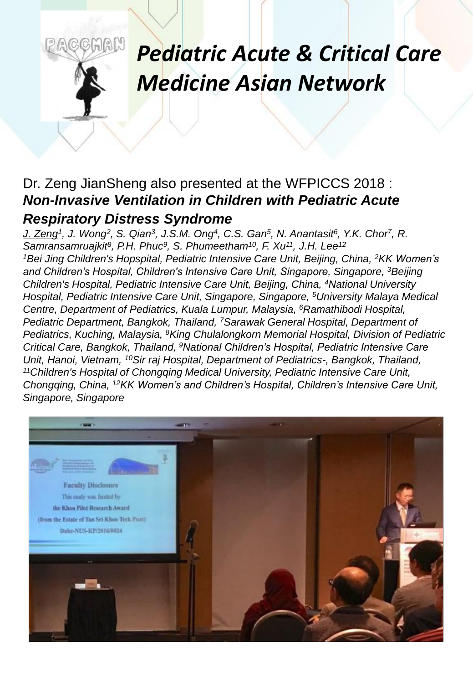## *Pediatric Acute & Critical Care Medicine Asian Network*

#### Dr. Zeng JianSheng also presented at the WFPICCS 2018 : *Non-Invasive Ventilation in Children with Pediatric Acute*

#### *Respiratory Distress Syndrome*

GMAN

*J. Zeng<sup>1</sup> , J. Wong<sup>2</sup> , S. Qian<sup>3</sup> , J.S.M. Ong<sup>4</sup> , C.S. Gan<sup>5</sup> , N. Anantasit<sup>6</sup> , Y.K. Chor<sup>7</sup> , R. Samransamruajkit<sup>8</sup> , P.H. Phuc<sup>9</sup> , S. Phumeetham<sup>10</sup>, F. Xu<sup>11</sup>, J.H. Lee<sup>12</sup>* <sup>1</sup>*Bei Jing Children's Hopspital, Pediatric Intensive Care Unit, Beijing, China, <sup>2</sup><i>KK Women's and Children's Hospital, Children's Intensive Care Unit, Singapore, Singapore, <sup>3</sup>Beijing Children's Hospital, Pediatric Intensive Care Unit, Beijing, China, <sup>4</sup>National University Hospital, Pediatric Intensive Care Unit, Singapore, Singapore, <sup>5</sup>University Malaya Medical Centre, Department of Pediatrics, Kuala Lumpur, Malaysia, <sup>6</sup>Ramathibodi Hospital, Pediatric Department, Bangkok, Thailand, <sup>7</sup>Sarawak General Hospital, Department of Pediatrics, Kuching, Malaysia, <sup>8</sup>King Chulalongkorn Memorial Hospital, Division of Pediatric Critical Care, Bangkok, Thailand, <sup>9</sup>National Children's Hospital, Pediatric Intensive Care Unit, Hanoi, Vietnam, <sup>10</sup>Sir raj Hospital, Department of Pediatrics-, Bangkok, Thailand, <sup>11</sup>Children's Hospital of Chongqing Medical University, Pediatric Intensive Care Unit, Chongqing, China, <sup>12</sup>KK Women's and Children's Hospital, Children's Intensive Care Unit, Singapore, Singapore*